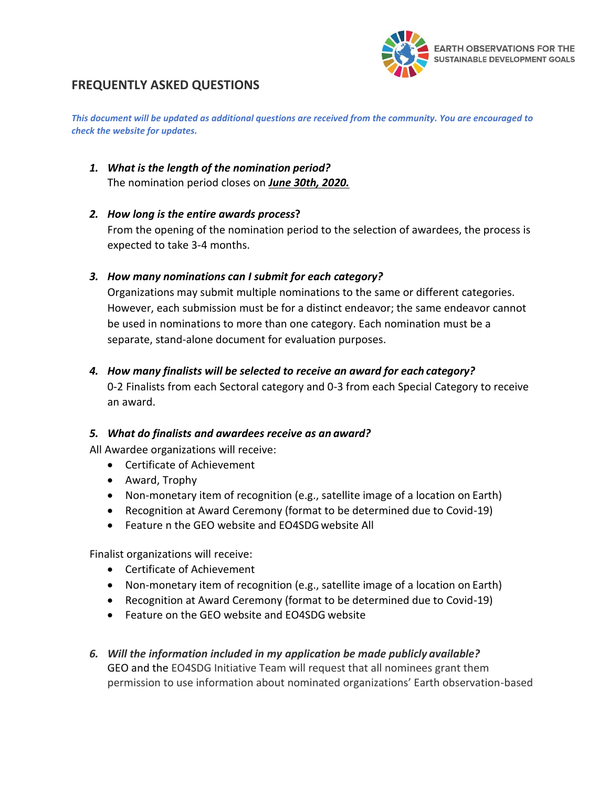

# **FREQUENTLY ASKED QUESTIONS**

*This document will be updated as additional questions are received from the community. You are encouraged to check the website for updates.*

- *1. What is the length of the nomination period?* The nomination period closes on *June 30th, 2020.*
- *2. How long is the entire awards process***?** From the opening of the nomination period to the selection of awardees, the process is expected to take 3-4 months.
- *3. How many nominations can I submit for each category?*

Organizations may submit multiple nominations to the same or different categories. However, each submission must be for a distinct endeavor; the same endeavor cannot be used in nominations to more than one category. Each nomination must be a separate, stand-alone document for evaluation purposes.

### *4. How many finalists will be selected to receive an award for each category?*

0-2 Finalists from each Sectoral category and 0-3 from each Special Category to receive an award.

### *5. What do finalists and awardees receive as an award?*

All Awardee organizations will receive:

- Certificate of Achievement
- Award, Trophy
- Non-monetary item of recognition (e.g., satellite image of a location on Earth)
- Recognition at Award Ceremony (format to be determined due to Covid-19)
- Feature n the GEO website and EO4SDG website All

Finalist organizations will receive:

- Certificate of Achievement
- Non-monetary item of recognition (e.g., satellite image of a location on Earth)
- Recognition at Award Ceremony (format to be determined due to Covid-19)
- Feature on the GEO website and EO4SDG website
- *6. Will the information included in my application be made publicly available?* GEO and the EO4SDG Initiative Team will request that all nominees grant them permission to use information about nominated organizations' Earth observation-based